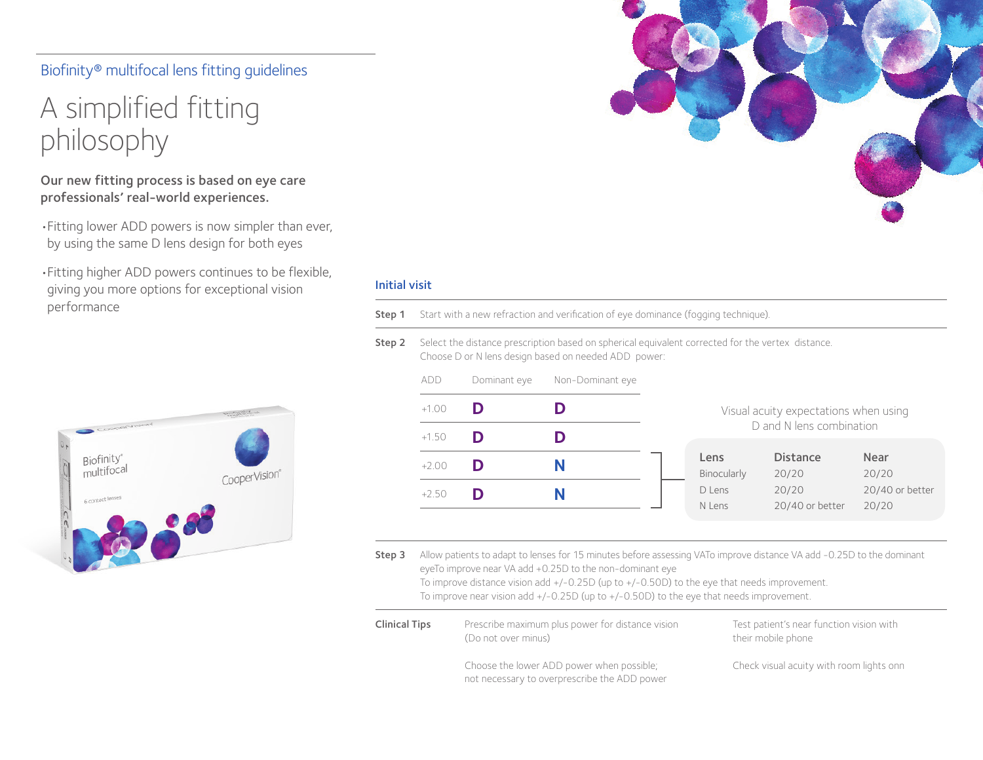## Biofinity® multifocal lens fitting guidelines

# A simplified fitting philosophy

### Our new fitting process is based on eye care professionals' real-world experiences.

- •Fitting lower ADD powers is now simpler than ever, by using the same D lens design for both eyes
- •Fitting higher ADD powers continues to be flexible, giving you more options for exceptional vision performance



#### Initial visit

- Step 1 Start with a new refraction and verification of eye dominance (fogging technique).
- Step 2 Select the distance prescription based on spherical equivalent corrected for the vertex distance. Choose D or N lens design based on needed ADD power:

| add     | Dominant eye | Non-Dominant eye |
|---------|--------------|------------------|
| $+1.00$ | D            | D                |
| $+1.50$ | D            | D                |
| $+2.00$ | D            | N                |
| $+2.50$ | D            | N                |
|         |              |                  |

#### Visual acuity expectations when using D and N lens combination

| Lens        | <b>Distance</b> | <b>Near</b>     |
|-------------|-----------------|-----------------|
| Binocularly | 20/20           | 20/20           |
| D Lens      | 20/20           | 20/40 or better |
| N Lens      | 20/40 or better | 20/20           |

Step 3 Allow patients to adapt to lenses for 15 minutes before assessing VATo improve distance VA add -0.25D to the dominant eyeTo improve near VA add +0.25D to the non-dominant eye

To improve distance vision add +/-0.25D (up to +/-0.50D) to the eye that needs improvement. To improve near vision add +/-0.25D (up to +/-0.50D) to the eye that needs improvement.

| <b>Clinical Tips</b> | Prescribe maximum plus power for distance vision<br>(Do not over minus)                   | Test patient's near function vision with<br>their mobile phone |
|----------------------|-------------------------------------------------------------------------------------------|----------------------------------------------------------------|
|                      | Choose the lower ADD power when possible;<br>not necessary to overprescribe the ADD power | Check visual acuity with room lights onn                       |